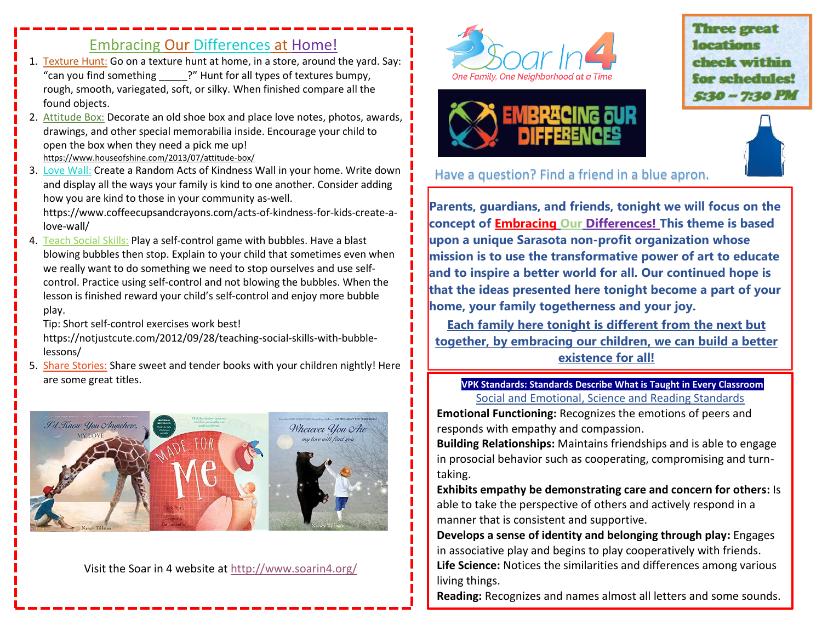## Embracing Our Differences at Home!

- 1. Texture Hunt: Go on a texture hunt at home, in a store, around the yard. Say: "can you find something <sup>?"</sup> Hunt for all types of textures bumpy, rough, smooth, variegated, soft, or silky. When finished compare all the found objects.
- 2. Attitude Box: Decorate an old shoe box and place love notes, photos, awards, drawings, and other special memorabilia inside. Encourage your child to open the box when they need a pick me up! <https://www.houseofshine.com/2013/07/attitude-box/>
- 3. Love Wall: Create a Random Acts of Kindness Wall in your home. Write down and display all the ways your family is kind to one another. Consider adding how you are kind to those in your community as-well. https://www.coffeecupsandcrayons.com/acts-of-kindness-for-kids-create-alove-wall/
- 4. Teach Social Skills: Play a self-control game with bubbles. Have a blast blowing bubbles then stop. Explain to your child that sometimes even when we really want to do something we need to stop ourselves and use selfcontrol. Practice using self-control and not blowing the bubbles. When the lesson is finished reward your child's self-control and enjoy more bubble play.

Tip: Short self-control exercises work best!

https://notjustcute.com/2012/09/28/teaching-social-skills-with-bubblelessons/

5. Share Stories: Share sweet and tender books with your children nightly! Here are some great titles.



Visit the Soar in 4 website at<http://www.soarin4.org/>





**Three great** locations check within for schedules!  $5:30 - 7:30$  PM



## Have a question? Find a friend in a blue apron.

**Parents, guardians, and friends, tonight we will focus on the concept of Embracing Our Differences! This theme is based upon a unique Sarasota non-profit organization whose mission is to use the transformative power of art to educate and to inspire a better world for all. Our continued hope is that the ideas presented here tonight become a part of your home, your family togetherness and your joy.**

**Each family here tonight is different from the next but together, by embracing our children, we can build a better existence for all!** 

## **VPK Standards: Standards Describe What is Taught in Every Classroom** Social and Emotional, Science and Reading Standards

**Emotional Functioning:** Recognizes the emotions of peers and responds with empathy and compassion.

**Building Relationships:** Maintains friendships and is able to engage in prosocial behavior such as cooperating, compromising and turntaking.

**Exhibits empathy be demonstrating care and concern for others:** Is able to take the perspective of others and actively respond in a manner that is consistent and supportive.

**Develops a sense of identity and belonging through play:** Engages in associative play and begins to play cooperatively with friends. **Life Science:** Notices the similarities and differences among various living things.

**Reading:** Recognizes and names almost all letters and some sounds.